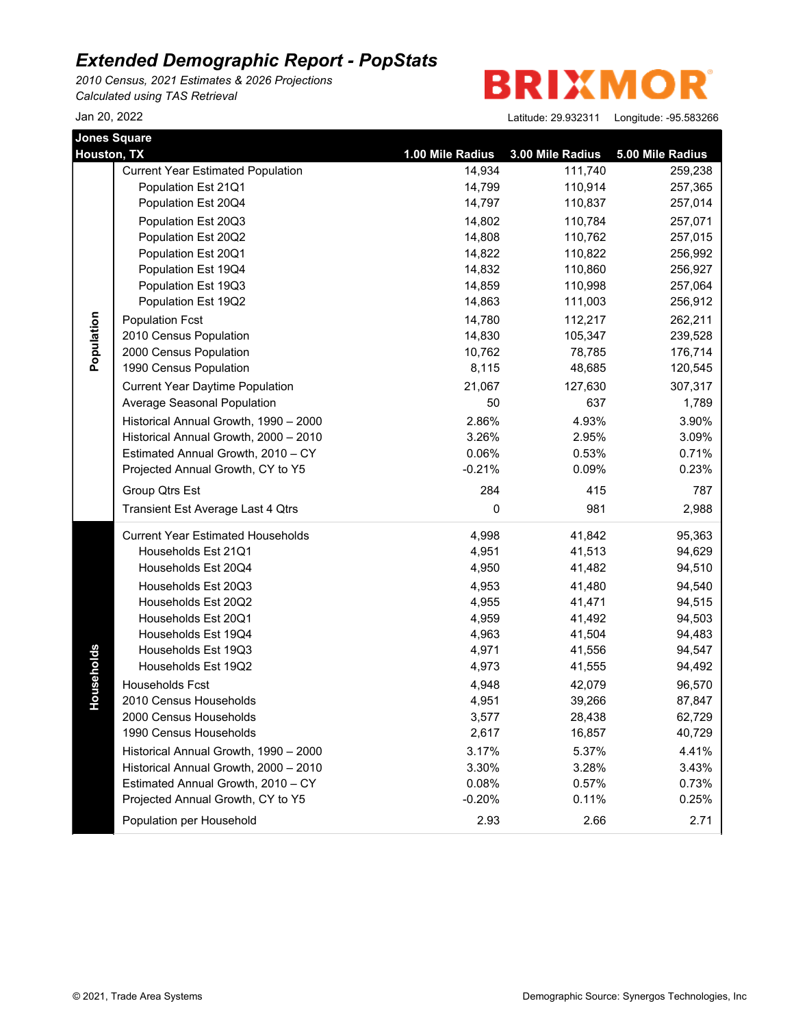*2010 Census, 2021 Estimates & 2026 Projections Calculated using TAS Retrieval*

**BRIXMOR** 

| <b>Jones Square</b><br>Houston, TX |                                          | 1.00 Mile Radius | 3.00 Mile Radius | 5.00 Mile Radius |
|------------------------------------|------------------------------------------|------------------|------------------|------------------|
|                                    | <b>Current Year Estimated Population</b> | 14,934           | 111,740          | 259,238          |
|                                    | Population Est 21Q1                      | 14,799           | 110,914          | 257,365          |
|                                    | Population Est 20Q4                      | 14,797           | 110,837          | 257,014          |
|                                    | Population Est 20Q3                      | 14,802           | 110,784          | 257,071          |
|                                    | Population Est 20Q2                      | 14,808           | 110,762          | 257,015          |
|                                    | Population Est 20Q1                      | 14,822           | 110,822          | 256,992          |
|                                    | Population Est 19Q4                      | 14,832           | 110,860          | 256,927          |
|                                    | Population Est 19Q3                      | 14,859           | 110,998          | 257,064          |
|                                    | Population Est 19Q2                      | 14,863           | 111,003          | 256,912          |
|                                    | <b>Population Fcst</b>                   | 14,780           | 112,217          | 262,211          |
| Population                         | 2010 Census Population                   | 14,830           | 105,347          | 239,528          |
|                                    | 2000 Census Population                   | 10,762           | 78,785           | 176,714          |
|                                    | 1990 Census Population                   | 8,115            | 48,685           | 120,545          |
|                                    | <b>Current Year Daytime Population</b>   | 21,067           | 127,630          | 307,317          |
|                                    | Average Seasonal Population              | 50               | 637              | 1,789            |
|                                    | Historical Annual Growth, 1990 - 2000    | 2.86%            | 4.93%            | 3.90%            |
|                                    | Historical Annual Growth, 2000 - 2010    | 3.26%            | 2.95%            | 3.09%            |
|                                    | Estimated Annual Growth, 2010 - CY       | 0.06%            | 0.53%            | 0.71%            |
|                                    | Projected Annual Growth, CY to Y5        | $-0.21%$         | 0.09%            | 0.23%            |
|                                    | Group Qtrs Est                           | 284              | 415              | 787              |
|                                    | Transient Est Average Last 4 Qtrs        | 0                | 981              | 2,988            |
|                                    | <b>Current Year Estimated Households</b> | 4,998            | 41,842           | 95,363           |
|                                    | Households Est 21Q1                      | 4,951            | 41,513           | 94,629           |
|                                    | Households Est 20Q4                      | 4,950            | 41,482           | 94,510           |
|                                    | Households Est 20Q3                      | 4,953            | 41,480           | 94,540           |
|                                    | Households Est 20Q2                      | 4,955            | 41,471           | 94,515           |
|                                    | Households Est 20Q1                      | 4,959            | 41,492           | 94,503           |
|                                    | Households Est 19Q4                      | 4,963            | 41,504           | 94,483           |
|                                    | Households Est 19Q3                      | 4,971            | 41,556           | 94,547           |
| Households                         | Households Est 19Q2                      | 4,973            | 41,555           | 94,492           |
|                                    | Households Fcst                          | 4,948            | 42,079           | 96,570           |
|                                    | 2010 Census Households                   | 4,951            | 39,266           | 87,847           |
|                                    | 2000 Census Households                   | 3,577            | 28,438           | 62,729           |
|                                    | 1990 Census Households                   | 2,617            | 16,857           | 40,729           |
|                                    | Historical Annual Growth, 1990 - 2000    | 3.17%            | 5.37%            | 4.41%            |
|                                    | Historical Annual Growth, 2000 - 2010    | 3.30%            | 3.28%            | 3.43%            |
|                                    | Estimated Annual Growth, 2010 - CY       | 0.08%            | 0.57%            | 0.73%            |
|                                    | Projected Annual Growth, CY to Y5        | $-0.20%$         | 0.11%            | 0.25%            |
|                                    | Population per Household                 | 2.93             | 2.66             | 2.71             |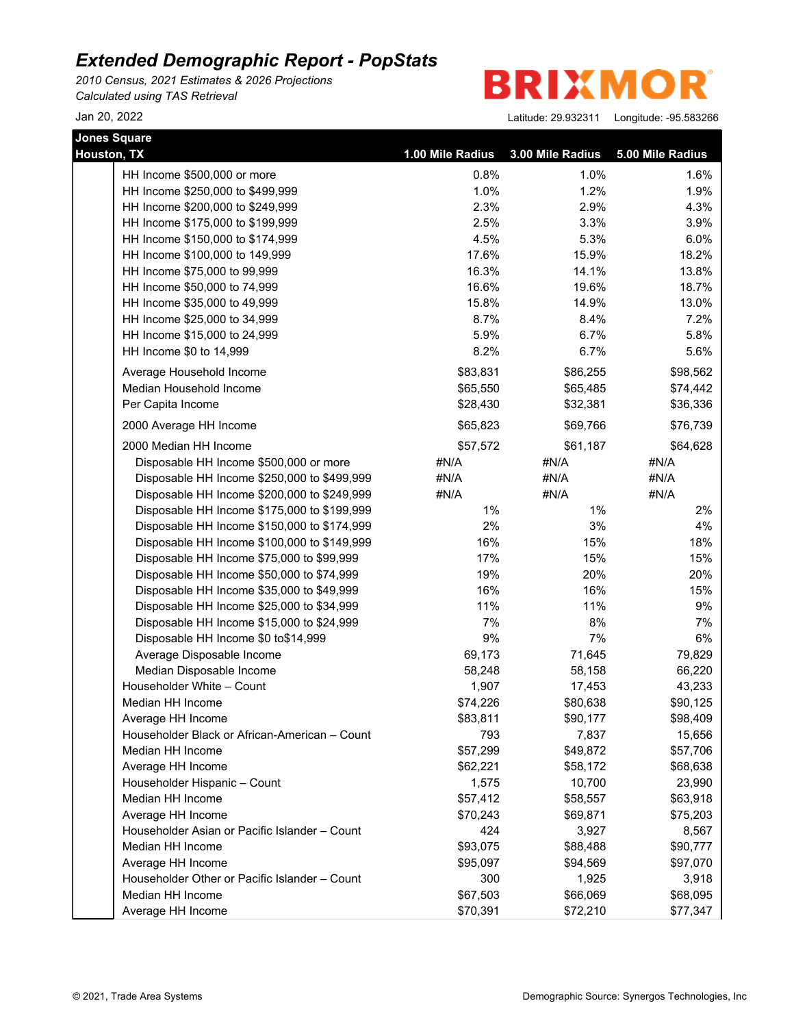*2010 Census, 2021 Estimates & 2026 Projections Calculated using TAS Retrieval*

**BRIXMOR** 

| <b>Jones Square</b>                           |                  |                  |                  |
|-----------------------------------------------|------------------|------------------|------------------|
| Houston, TX                                   | 1.00 Mile Radius | 3.00 Mile Radius | 5.00 Mile Radius |
| HH Income \$500,000 or more                   | 0.8%             | 1.0%             | 1.6%             |
| HH Income \$250,000 to \$499,999              | 1.0%             | 1.2%             | 1.9%             |
| HH Income \$200,000 to \$249,999              | 2.3%             | 2.9%             | 4.3%             |
| HH Income \$175,000 to \$199,999              | 2.5%             | 3.3%             | 3.9%             |
| HH Income \$150,000 to \$174,999              | 4.5%             | 5.3%             | 6.0%             |
| HH Income \$100,000 to 149,999                | 17.6%            | 15.9%            | 18.2%            |
| HH Income \$75,000 to 99,999                  | 16.3%            | 14.1%            | 13.8%            |
| HH Income \$50,000 to 74,999                  | 16.6%            | 19.6%            | 18.7%            |
| HH Income \$35,000 to 49,999                  | 15.8%            | 14.9%            | 13.0%            |
| HH Income \$25,000 to 34,999                  | 8.7%             | 8.4%             | 7.2%             |
| HH Income \$15,000 to 24,999                  | 5.9%             | 6.7%             | 5.8%             |
| HH Income \$0 to 14,999                       | 8.2%             | 6.7%             | 5.6%             |
| Average Household Income                      | \$83,831         | \$86,255         | \$98,562         |
| Median Household Income                       | \$65,550         | \$65,485         | \$74,442         |
| Per Capita Income                             | \$28,430         | \$32,381         | \$36,336         |
| 2000 Average HH Income                        | \$65,823         | \$69,766         | \$76,739         |
| 2000 Median HH Income                         | \$57,572         | \$61,187         | \$64,628         |
| Disposable HH Income \$500,000 or more        | #N/A             | #N/A             | #N/A             |
| Disposable HH Income \$250,000 to \$499,999   | #N/A             | #N/A             | #N/A             |
| Disposable HH Income \$200,000 to \$249,999   | #N/A             | #N/A             | #N/A             |
| Disposable HH Income \$175,000 to \$199,999   | $1\%$            | $1\%$            | 2%               |
| Disposable HH Income \$150,000 to \$174,999   | 2%               | 3%               | 4%               |
| Disposable HH Income \$100,000 to \$149,999   | 16%              | 15%              | 18%              |
| Disposable HH Income \$75,000 to \$99,999     | 17%              | 15%              | 15%              |
| Disposable HH Income \$50,000 to \$74,999     | 19%              | 20%              | 20%              |
| Disposable HH Income \$35,000 to \$49,999     | 16%              | 16%              | 15%              |
| Disposable HH Income \$25,000 to \$34,999     | 11%              | 11%              | 9%               |
| Disposable HH Income \$15,000 to \$24,999     | 7%               | 8%               | 7%               |
| Disposable HH Income \$0 to\$14,999           | $9\%$            | 7%               | 6%               |
| Average Disposable Income                     | 69,173           | 71,645           | 79,829           |
| Median Disposable Income                      | 58,248           | 58,158           | 66,220           |
| Householder White - Count                     | 1,907            | 17,453           | 43,233           |
| Median HH Income                              | \$74,226         | \$80,638         | \$90,125         |
| Average HH Income                             | \$83,811         | \$90,177         | \$98,409         |
| Householder Black or African-American - Count | 793              | 7,837            | 15,656           |
| Median HH Income                              | \$57,299         | \$49,872         | \$57,706         |
| Average HH Income                             | \$62,221         | \$58,172         | \$68,638         |
| Householder Hispanic - Count                  | 1,575            | 10,700           | 23,990           |
| Median HH Income                              | \$57,412         | \$58,557         | \$63,918         |
| Average HH Income                             | \$70,243         | \$69,871         | \$75,203         |
| Householder Asian or Pacific Islander - Count | 424              | 3,927            | 8,567            |
| Median HH Income                              | \$93,075         | \$88,488         | \$90,777         |
| Average HH Income                             | \$95,097         | \$94,569         | \$97,070         |
| Householder Other or Pacific Islander - Count | 300              | 1,925            | 3,918            |
| Median HH Income                              | \$67,503         | \$66,069         | \$68,095         |
| Average HH Income                             | \$70,391         | \$72,210         | \$77,347         |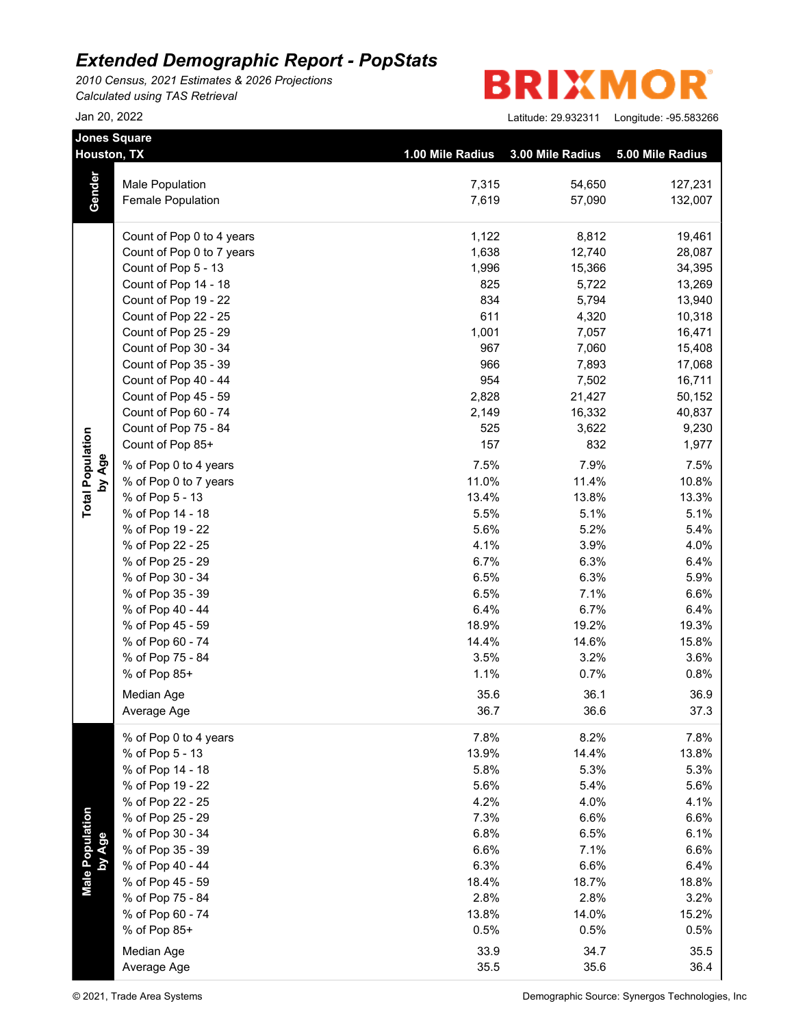*2010 Census, 2021 Estimates & 2026 Projections Calculated using TAS Retrieval*

|                           | <b>Jones Square</b><br><b>Houston, TX</b>          | 1.00 Mile Radius | 3.00 Mile Radius | 5.00 Mile Radius   |
|---------------------------|----------------------------------------------------|------------------|------------------|--------------------|
|                           |                                                    |                  |                  |                    |
| Gender                    | <b>Male Population</b><br><b>Female Population</b> | 7,315<br>7,619   | 54,650<br>57,090 | 127,231<br>132,007 |
|                           |                                                    |                  |                  |                    |
|                           | Count of Pop 0 to 4 years                          | 1,122            | 8,812            | 19,461             |
|                           | Count of Pop 0 to 7 years                          | 1,638            | 12,740           | 28,087             |
|                           | Count of Pop 5 - 13                                | 1,996            | 15,366           | 34,395             |
|                           | Count of Pop 14 - 18                               | 825              | 5,722            | 13,269             |
|                           | Count of Pop 19 - 22                               | 834              | 5,794            | 13,940             |
|                           | Count of Pop 22 - 25                               | 611              | 4,320            | 10,318             |
|                           | Count of Pop 25 - 29                               | 1,001            | 7,057            | 16,471             |
|                           | Count of Pop 30 - 34                               | 967              | 7,060            | 15,408             |
|                           | Count of Pop 35 - 39                               | 966              | 7,893            | 17,068             |
|                           | Count of Pop 40 - 44                               | 954              | 7,502            | 16,711             |
|                           | Count of Pop 45 - 59                               | 2,828            | 21,427           | 50,152             |
|                           | Count of Pop 60 - 74                               | 2,149            | 16,332           | 40,837             |
|                           | Count of Pop 75 - 84                               | 525              | 3,622            | 9,230              |
|                           | Count of Pop 85+                                   | 157              | 832              | 1,977              |
| by Age                    | % of Pop 0 to 4 years                              | 7.5%             | 7.9%             | 7.5%               |
|                           | % of Pop 0 to 7 years                              | 11.0%            | 11.4%            | 10.8%              |
| <b>Total Population</b>   | % of Pop 5 - 13                                    | 13.4%            | 13.8%            | 13.3%              |
|                           | % of Pop 14 - 18                                   | 5.5%             | 5.1%             | 5.1%               |
|                           | % of Pop 19 - 22                                   | 5.6%             | 5.2%             | 5.4%               |
|                           | % of Pop 22 - 25                                   | 4.1%             | 3.9%             | 4.0%               |
|                           | % of Pop 25 - 29                                   | 6.7%             | 6.3%             | 6.4%               |
|                           | % of Pop 30 - 34                                   | 6.5%             | 6.3%             | 5.9%               |
|                           | % of Pop 35 - 39                                   | 6.5%             | 7.1%             | 6.6%               |
|                           | % of Pop 40 - 44                                   | 6.4%             | 6.7%             | 6.4%               |
|                           | % of Pop 45 - 59                                   | 18.9%            | 19.2%            | 19.3%              |
|                           | % of Pop 60 - 74                                   | 14.4%            | 14.6%            | 15.8%              |
|                           | % of Pop 75 - 84                                   | 3.5%             | 3.2%             | 3.6%               |
|                           | % of Pop 85+                                       | 1.1%             | 0.7%             | 0.8%               |
|                           | Median Age                                         | 35.6             | 36.1             | 36.9               |
|                           | Average Age                                        | 36.7             | 36.6             | 37.3               |
|                           | % of Pop 0 to 4 years                              | 7.8%             | 8.2%             | 7.8%               |
|                           | % of Pop 5 - 13                                    | 13.9%            | 14.4%            | 13.8%              |
|                           | % of Pop 14 - 18                                   | 5.8%             | 5.3%             | 5.3%               |
|                           | % of Pop 19 - 22                                   | 5.6%             | 5.4%             | 5.6%               |
|                           | % of Pop 22 - 25                                   | 4.2%             | 4.0%             | 4.1%               |
|                           | % of Pop 25 - 29                                   | 7.3%             | 6.6%             | 6.6%               |
| Male Population<br>by Age | % of Pop 30 - 34                                   | 6.8%             | 6.5%             | 6.1%               |
|                           | % of Pop 35 - 39                                   | 6.6%             | 7.1%             | 6.6%               |
|                           | % of Pop 40 - 44                                   | 6.3%             | 6.6%             | 6.4%               |
|                           | % of Pop 45 - 59                                   | 18.4%            | 18.7%            | 18.8%              |
|                           | % of Pop 75 - 84                                   | 2.8%             | 2.8%             | 3.2%               |
|                           | % of Pop 60 - 74                                   | 13.8%            | 14.0%            | 15.2%              |
|                           | % of Pop 85+                                       | 0.5%             | 0.5%             | 0.5%               |
|                           | Median Age                                         | 33.9             | 34.7             | 35.5               |
|                           | Average Age                                        | 35.5             | 35.6             | 36.4               |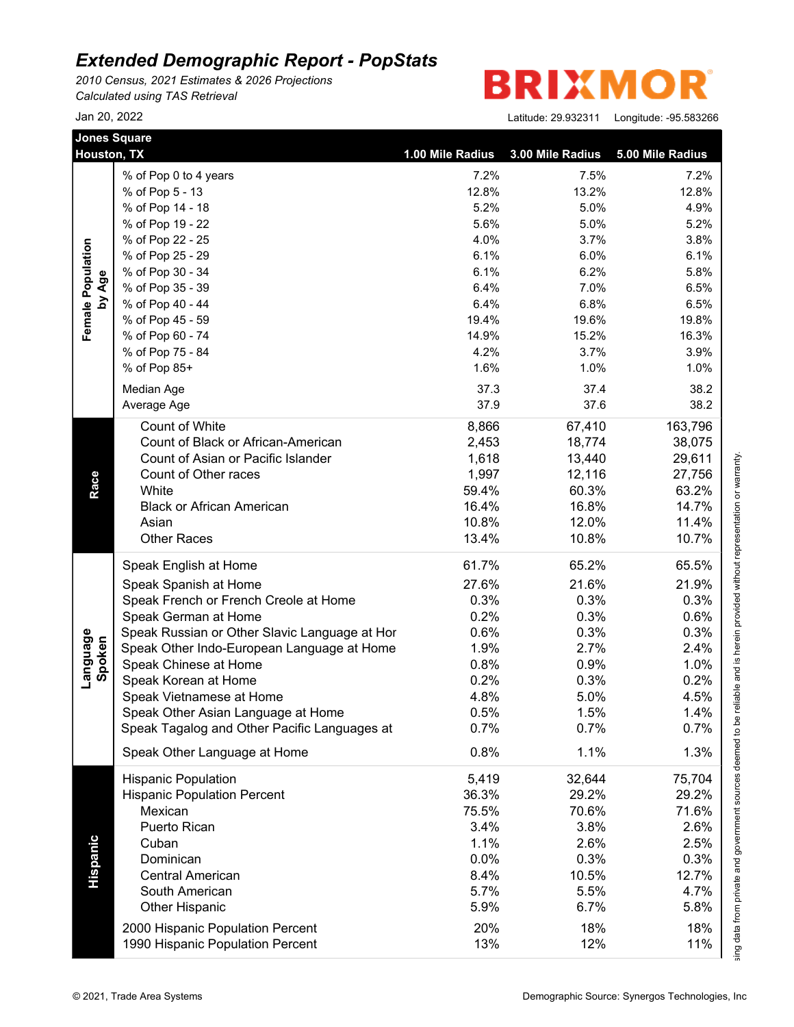*2010 Census, 2021 Estimates & 2026 Projections Calculated using TAS Retrieval*

R **BRIXMO** 

| <b>Jones Square</b> | Houston, TX                                   | 1.00 Mile Radius | 3.00 Mile Radius | 5.00 Mile Radius |
|---------------------|-----------------------------------------------|------------------|------------------|------------------|
|                     | % of Pop 0 to 4 years                         | 7.2%             | 7.5%             | 7.2%             |
|                     | % of Pop 5 - 13                               | 12.8%            | 13.2%            | 12.8%            |
|                     | % of Pop 14 - 18                              | 5.2%             | 5.0%             | 4.9%             |
|                     | % of Pop 19 - 22                              | 5.6%             | 5.0%             | 5.2%             |
|                     | % of Pop 22 - 25                              | 4.0%             | 3.7%             | 3.8%             |
|                     | % of Pop 25 - 29                              | 6.1%             | 6.0%             | 6.1%             |
|                     | % of Pop 30 - 34                              | 6.1%             | 6.2%             | 5.8%             |
| by Age              | % of Pop 35 - 39                              | 6.4%             | 7.0%             | 6.5%             |
|                     | % of Pop 40 - 44                              | 6.4%             | 6.8%             | 6.5%             |
|                     | % of Pop 45 - 59                              | 19.4%            | 19.6%            | 19.8%            |
|                     | % of Pop 60 - 74                              | 14.9%            | 15.2%            | 16.3%            |
|                     | % of Pop 75 - 84                              | 4.2%             | 3.7%             | 3.9%             |
|                     | % of Pop 85+                                  | 1.6%             | 1.0%             | 1.0%             |
|                     | Median Age                                    | 37.3             | 37.4             | 38.2             |
|                     | Average Age                                   | 37.9             | 37.6             | 38.2             |
|                     | Count of White                                | 8,866            | 67,410           | 163,796          |
|                     | Count of Black or African-American            | 2,453            | 18,774           | 38,075           |
|                     | Count of Asian or Pacific Islander            | 1,618            | 13,440           | 29,611           |
|                     | Count of Other races                          | 1,997            | 12,116           | 27,756           |
|                     | White                                         | 59.4%            | 60.3%            | 63.2%            |
|                     | <b>Black or African American</b>              | 16.4%            | 16.8%            | 14.7%            |
|                     | Asian                                         | 10.8%            | 12.0%            | 11.4%            |
|                     | <b>Other Races</b>                            | 13.4%            | 10.8%            | 10.7%            |
|                     | Speak English at Home                         | 61.7%            | 65.2%            | 65.5%            |
|                     | Speak Spanish at Home                         | 27.6%            | 21.6%            | 21.9%            |
|                     | Speak French or French Creole at Home         | 0.3%             | 0.3%             | 0.3%             |
|                     | Speak German at Home                          | 0.2%             | 0.3%             | 0.6%             |
|                     | Speak Russian or Other Slavic Language at Hor | 0.6%             | 0.3%             | 0.3%             |
|                     | Speak Other Indo-European Language at Home    | 1.9%             | 2.7%             | 2.4%             |
| Language<br>Spoken  | Speak Chinese at Home                         | 0.8%             | 0.9%             | 1.0%             |
|                     | Speak Korean at Home                          | 0.2%             | 0.3%             | 0.2%             |
|                     | Speak Vietnamese at Home                      | 4.8%             | 5.0%             | 4.5%             |
|                     | Speak Other Asian Language at Home            | 0.5%             | 1.5%             | 1.4%             |
|                     | Speak Tagalog and Other Pacific Languages at  | 0.7%             | 0.7%             | 0.7%             |
|                     | Speak Other Language at Home                  | 0.8%             | 1.1%             | 1.3%             |
|                     |                                               | 5,419            |                  |                  |
|                     | <b>Hispanic Population</b>                    | 36.3%            | 32,644<br>29.2%  | 75,704<br>29.2%  |
|                     | <b>Hispanic Population Percent</b><br>Mexican | 75.5%            | 70.6%            | 71.6%            |
|                     | Puerto Rican                                  | 3.4%             |                  | 2.6%             |
|                     |                                               |                  | 3.8%             |                  |
|                     | Cuban                                         | 1.1%             | 2.6%             | 2.5%             |
|                     | Dominican                                     | 0.0%             | 0.3%             | 0.3%             |
|                     | <b>Central American</b>                       | 8.4%             | 10.5%            | 12.7%            |
|                     | South American                                | 5.7%             | 5.5%             | 4.7%             |
|                     | <b>Other Hispanic</b>                         | 5.9%             | 6.7%             | 5.8%             |
|                     | 2000 Hispanic Population Percent              | 20%              | 18%              | 18%              |
|                     | 1990 Hispanic Population Percent              | 13%              | 12%              | 11%              |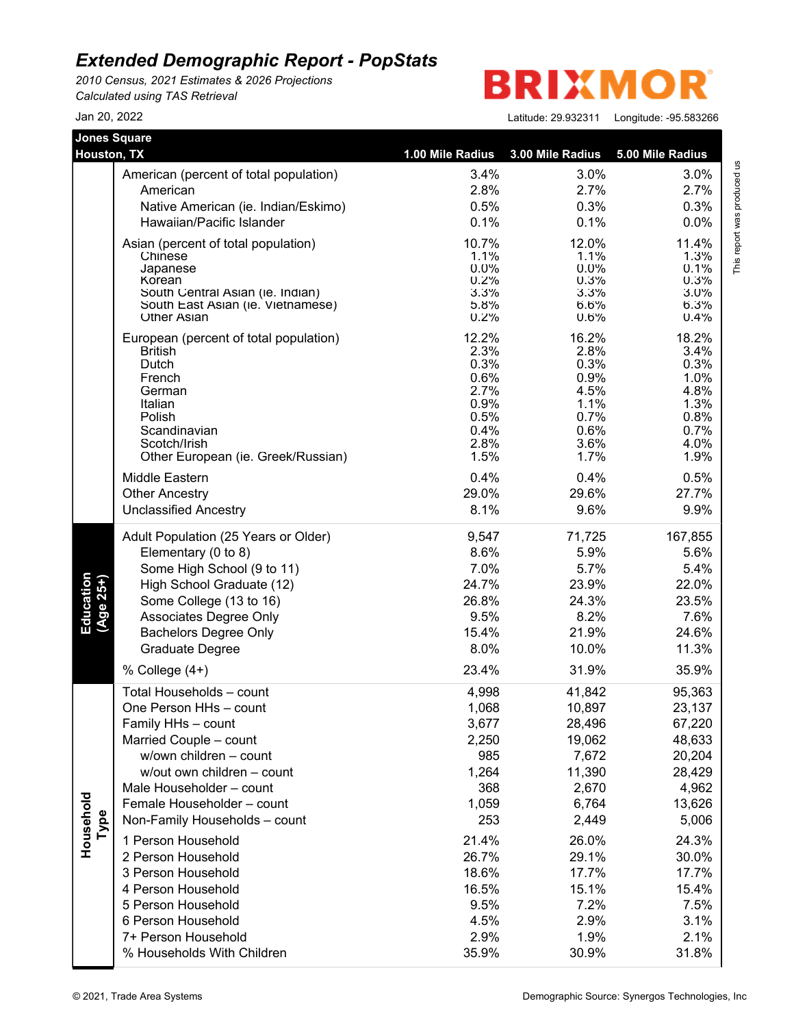*2010 Census, 2021 Estimates & 2026 Projections Calculated using TAS Retrieval*

**BRIXMO** R

| <b>Jones Square</b><br><b>Houston, TX</b> |                                        |                  |                  |                  |
|-------------------------------------------|----------------------------------------|------------------|------------------|------------------|
|                                           |                                        | 1.00 Mile Radius | 3.00 Mile Radius | 5.00 Mile Radius |
|                                           | American (percent of total population) | 3.4%             | 3.0%             | 3.0%             |
|                                           | American                               | 2.8%             | 2.7%             | 2.7%             |
|                                           | Native American (ie. Indian/Eskimo)    | 0.5%             | 0.3%             | 0.3%             |
|                                           | Hawaiian/Pacific Islander              | 0.1%             | 0.1%             | 0.0%             |
|                                           | Asian (percent of total population)    | 10.7%            | 12.0%            | 11.4%            |
|                                           | Chinese                                | 1.1%             | 1.1%             | 1.3%             |
|                                           | Japanese<br>Korean                     | $0.0\%$<br>0.2%  | $0.0\%$<br>0.3%  | 0.1%<br>0.3%     |
|                                           | South Central Asian (ie. Indian)       | 3.3%             | 3.3%             | 3.0%             |
|                                           | South East Asian (ie. Vietnamese)      | 5.8%             | 6.6%             | 6.3%             |
|                                           | <b>Other Asian</b>                     | 0.2%             | 0.6%             | 0.4%             |
|                                           | European (percent of total population) | 12.2%            | 16.2%            | 18.2%            |
|                                           | <b>British</b><br>Dutch                | 2.3%<br>0.3%     | 2.8%<br>0.3%     | 3.4%<br>0.3%     |
|                                           | French                                 | 0.6%             | 0.9%             | 1.0%             |
|                                           | German                                 | 2.7%             | 4.5%             | 4.8%             |
|                                           | Italian                                | 0.9%             | 1.1%             | 1.3%             |
|                                           | Polish                                 | 0.5%             | 0.7%             | 0.8%             |
|                                           | Scandinavian<br>Scotch/Irish           | 0.4%<br>2.8%     | 0.6%<br>3.6%     | 0.7%<br>4.0%     |
|                                           | Other European (ie. Greek/Russian)     | 1.5%             | 1.7%             | 1.9%             |
|                                           | Middle Eastern                         | 0.4%             | 0.4%             | 0.5%             |
|                                           | <b>Other Ancestry</b>                  | 29.0%            | 29.6%            | 27.7%            |
|                                           | <b>Unclassified Ancestry</b>           | 8.1%             | 9.6%             | 9.9%             |
|                                           | Adult Population (25 Years or Older)   | 9,547            | 71,725           | 167,855          |
|                                           | Elementary (0 to 8)                    | 8.6%             | 5.9%             | 5.6%             |
|                                           | Some High School (9 to 11)             | 7.0%             | 5.7%             | 5.4%             |
| Education<br>(Age 25+)                    | High School Graduate (12)              | 24.7%            | 23.9%            | 22.0%            |
|                                           | Some College (13 to 16)                | 26.8%            | 24.3%            | 23.5%            |
|                                           | Associates Degree Only                 | 9.5%             | 8.2%             | 7.6%             |
|                                           | <b>Bachelors Degree Only</b>           | 15.4%            | 21.9%            | 24.6%            |
|                                           | Graduate Degree                        | 8.0%             | 10.0%            | 11.3%            |
|                                           | % College (4+)                         | 23.4%            | 31.9%            | 35.9%            |
|                                           | Total Households - count               | 4,998            | 41,842           | 95,363           |
|                                           | One Person HHs - count                 | 1,068            | 10,897           | 23,137           |
|                                           | Family HHs - count                     | 3,677            | 28,496           | 67,220           |
|                                           | Married Couple - count                 | 2,250            | 19,062           | 48,633           |
|                                           | w/own children - count                 | 985              | 7,672            | 20,204           |
|                                           | w/out own children - count             | 1,264            | 11,390           | 28,429           |
|                                           | Male Householder - count               | 368              | 2,670            | 4,962            |
|                                           | Female Householder - count             | 1,059            | 6,764            | 13,626           |
| Type                                      | Non-Family Households - count          | 253              | 2,449            | 5,006            |
| Household                                 | 1 Person Household                     | 21.4%            | 26.0%            | 24.3%            |
|                                           | 2 Person Household                     | 26.7%            | 29.1%            | 30.0%            |
|                                           | 3 Person Household                     | 18.6%            | 17.7%            | 17.7%            |
|                                           | 4 Person Household                     | 16.5%            | 15.1%            | 15.4%            |
|                                           | 5 Person Household                     | 9.5%             | 7.2%             | 7.5%             |
|                                           | 6 Person Household                     | 4.5%             | 2.9%             | 3.1%             |
|                                           | 7+ Person Household                    | 2.9%             | 1.9%             | 2.1%             |
|                                           | % Households With Children             | 35.9%            | 30.9%            | 31.8%            |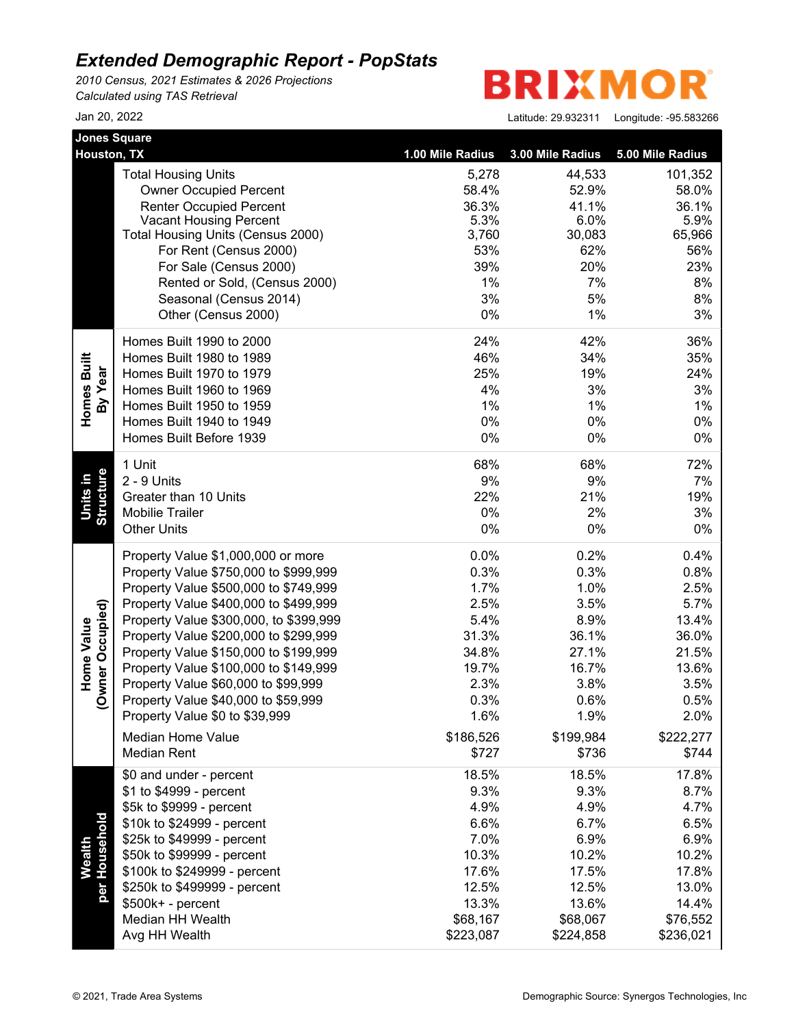*2010 Census, 2021 Estimates & 2026 Projections Calculated using TAS Retrieval*

**BRIXMOR** 

| <b>Jones Square</b><br>Houston, TX    |                                        |                  |                  |                  |
|---------------------------------------|----------------------------------------|------------------|------------------|------------------|
|                                       |                                        | 1.00 Mile Radius | 3.00 Mile Radius | 5.00 Mile Radius |
|                                       | <b>Total Housing Units</b>             | 5,278            | 44,533           | 101,352          |
|                                       | <b>Owner Occupied Percent</b>          | 58.4%            | 52.9%            | 58.0%            |
|                                       | <b>Renter Occupied Percent</b>         | 36.3%            | 41.1%            | 36.1%            |
|                                       | <b>Vacant Housing Percent</b>          | 5.3%             | 6.0%             | 5.9%             |
|                                       | Total Housing Units (Census 2000)      | 3,760            | 30,083           | 65,966           |
|                                       | For Rent (Census 2000)                 | 53%              | 62%              | 56%              |
|                                       | For Sale (Census 2000)                 | 39%              | 20%              | 23%              |
|                                       | Rented or Sold, (Census 2000)          | 1%               | 7%               | 8%               |
|                                       | Seasonal (Census 2014)                 | 3%               | 5%               | 8%               |
|                                       | Other (Census 2000)                    | 0%               | 1%               | 3%               |
|                                       | Homes Built 1990 to 2000               | 24%              | 42%              | 36%              |
| Homes Built                           | Homes Built 1980 to 1989               | 46%              | 34%              | 35%              |
| By Year                               | Homes Built 1970 to 1979               | 25%              | 19%              | 24%              |
|                                       | Homes Built 1960 to 1969               | 4%               | 3%               | 3%               |
|                                       | Homes Built 1950 to 1959               | 1%               | 1%               | 1%               |
|                                       | Homes Built 1940 to 1949               | 0%               | 0%               | 0%               |
|                                       | Homes Built Before 1939                | 0%               | 0%               | 0%               |
|                                       | 1 Unit                                 | 68%              | 68%              | 72%              |
| Units in                              | 2 - 9 Units                            | 9%               | 9%               | 7%               |
|                                       | Greater than 10 Units                  | 22%              | 21%              | 19%              |
| <b>Structure</b>                      | <b>Mobilie Trailer</b>                 | 0%               | 2%               | 3%               |
|                                       | <b>Other Units</b>                     | 0%               | 0%               | 0%               |
|                                       | Property Value \$1,000,000 or more     | 0.0%             | 0.2%             | 0.4%             |
|                                       | Property Value \$750,000 to \$999,999  | 0.3%             | 0.3%             | 0.8%             |
|                                       | Property Value \$500,000 to \$749,999  | 1.7%             | 1.0%             | 2.5%             |
|                                       | Property Value \$400,000 to \$499,999  | 2.5%             | 3.5%             | 5.7%             |
|                                       | Property Value \$300,000, to \$399,999 | 5.4%             | 8.9%             | 13.4%            |
| (Owner Occupied)<br><b>Home Value</b> | Property Value \$200,000 to \$299,999  | 31.3%            | 36.1%            | 36.0%            |
|                                       | Property Value \$150,000 to \$199,999  | 34.8%            | 27.1%            | 21.5%            |
|                                       | Property Value \$100,000 to \$149,999  | 19.7%            | 16.7%            | 13.6%            |
|                                       | Property Value \$60,000 to \$99,999    | 2.3%             | 3.8%             | 3.5%             |
|                                       | Property Value \$40,000 to \$59,999    | 0.3%             | 0.6%             | 0.5%             |
|                                       | Property Value \$0 to \$39,999         | 1.6%             | 1.9%             | 2.0%             |
|                                       | <b>Median Home Value</b>               | \$186,526        | \$199,984        | \$222,277        |
|                                       | <b>Median Rent</b>                     | \$727            | \$736            | \$744            |
|                                       | \$0 and under - percent                | 18.5%            | 18.5%            | 17.8%            |
|                                       | \$1 to \$4999 - percent                | 9.3%             | 9.3%             | 8.7%             |
|                                       | \$5k to \$9999 - percent               | 4.9%             | 4.9%             | 4.7%             |
|                                       | \$10k to \$24999 - percent             | 6.6%             | 6.7%             | 6.5%             |
|                                       | \$25k to \$49999 - percent             | 7.0%             | 6.9%             | 6.9%             |
| Wealth                                | \$50k to \$99999 - percent             | 10.3%            | 10.2%            | 10.2%            |
| per Household                         | \$100k to \$249999 - percent           | 17.6%            | 17.5%            | 17.8%            |
|                                       | \$250k to \$499999 - percent           | 12.5%            | 12.5%            | 13.0%            |
|                                       | $$500k+ - percent$                     | 13.3%            | 13.6%            | 14.4%            |
|                                       | Median HH Wealth                       | \$68,167         | \$68,067         | \$76,552         |
|                                       | Avg HH Wealth                          | \$223,087        | \$224,858        | \$236,021        |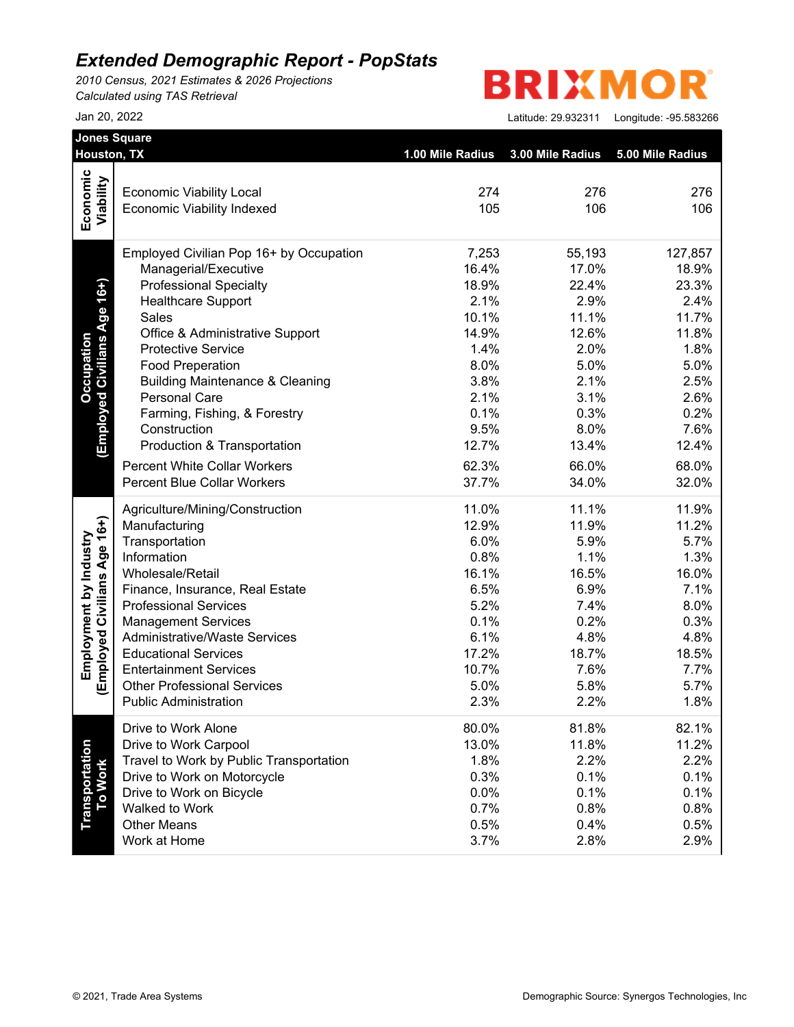*2010 Census, 2021 Estimates & 2026 Projections Calculated using TAS Retrieval*

# **BRIXMOR**

| Houston, TX                             | 1.00 Mile Radius                                                                                                                                                                                                                                                                                                                                                                                                                                                                                                                                                                                                                                                                                                                                                                                                                                                                                                                                                                                                                                    | 3.00 Mile Radius                                                                                                                                                                                                                                                                                | 5.00 Mile Radius                                                                                                                                                                                                                                                                               |
|-----------------------------------------|-----------------------------------------------------------------------------------------------------------------------------------------------------------------------------------------------------------------------------------------------------------------------------------------------------------------------------------------------------------------------------------------------------------------------------------------------------------------------------------------------------------------------------------------------------------------------------------------------------------------------------------------------------------------------------------------------------------------------------------------------------------------------------------------------------------------------------------------------------------------------------------------------------------------------------------------------------------------------------------------------------------------------------------------------------|-------------------------------------------------------------------------------------------------------------------------------------------------------------------------------------------------------------------------------------------------------------------------------------------------|------------------------------------------------------------------------------------------------------------------------------------------------------------------------------------------------------------------------------------------------------------------------------------------------|
|                                         |                                                                                                                                                                                                                                                                                                                                                                                                                                                                                                                                                                                                                                                                                                                                                                                                                                                                                                                                                                                                                                                     |                                                                                                                                                                                                                                                                                                 | 276                                                                                                                                                                                                                                                                                            |
|                                         |                                                                                                                                                                                                                                                                                                                                                                                                                                                                                                                                                                                                                                                                                                                                                                                                                                                                                                                                                                                                                                                     |                                                                                                                                                                                                                                                                                                 | 106                                                                                                                                                                                                                                                                                            |
|                                         |                                                                                                                                                                                                                                                                                                                                                                                                                                                                                                                                                                                                                                                                                                                                                                                                                                                                                                                                                                                                                                                     |                                                                                                                                                                                                                                                                                                 |                                                                                                                                                                                                                                                                                                |
| Employed Civilian Pop 16+ by Occupation | 7,253                                                                                                                                                                                                                                                                                                                                                                                                                                                                                                                                                                                                                                                                                                                                                                                                                                                                                                                                                                                                                                               | 55,193                                                                                                                                                                                                                                                                                          | 127,857                                                                                                                                                                                                                                                                                        |
|                                         |                                                                                                                                                                                                                                                                                                                                                                                                                                                                                                                                                                                                                                                                                                                                                                                                                                                                                                                                                                                                                                                     |                                                                                                                                                                                                                                                                                                 | 18.9%                                                                                                                                                                                                                                                                                          |
|                                         |                                                                                                                                                                                                                                                                                                                                                                                                                                                                                                                                                                                                                                                                                                                                                                                                                                                                                                                                                                                                                                                     |                                                                                                                                                                                                                                                                                                 | 23.3%                                                                                                                                                                                                                                                                                          |
|                                         |                                                                                                                                                                                                                                                                                                                                                                                                                                                                                                                                                                                                                                                                                                                                                                                                                                                                                                                                                                                                                                                     |                                                                                                                                                                                                                                                                                                 | 2.4%                                                                                                                                                                                                                                                                                           |
|                                         |                                                                                                                                                                                                                                                                                                                                                                                                                                                                                                                                                                                                                                                                                                                                                                                                                                                                                                                                                                                                                                                     |                                                                                                                                                                                                                                                                                                 | 11.7%                                                                                                                                                                                                                                                                                          |
|                                         |                                                                                                                                                                                                                                                                                                                                                                                                                                                                                                                                                                                                                                                                                                                                                                                                                                                                                                                                                                                                                                                     |                                                                                                                                                                                                                                                                                                 | 11.8%                                                                                                                                                                                                                                                                                          |
|                                         |                                                                                                                                                                                                                                                                                                                                                                                                                                                                                                                                                                                                                                                                                                                                                                                                                                                                                                                                                                                                                                                     |                                                                                                                                                                                                                                                                                                 | 1.8%                                                                                                                                                                                                                                                                                           |
|                                         |                                                                                                                                                                                                                                                                                                                                                                                                                                                                                                                                                                                                                                                                                                                                                                                                                                                                                                                                                                                                                                                     |                                                                                                                                                                                                                                                                                                 | 5.0%                                                                                                                                                                                                                                                                                           |
|                                         |                                                                                                                                                                                                                                                                                                                                                                                                                                                                                                                                                                                                                                                                                                                                                                                                                                                                                                                                                                                                                                                     |                                                                                                                                                                                                                                                                                                 | 2.5%                                                                                                                                                                                                                                                                                           |
|                                         |                                                                                                                                                                                                                                                                                                                                                                                                                                                                                                                                                                                                                                                                                                                                                                                                                                                                                                                                                                                                                                                     |                                                                                                                                                                                                                                                                                                 | 2.6%                                                                                                                                                                                                                                                                                           |
|                                         |                                                                                                                                                                                                                                                                                                                                                                                                                                                                                                                                                                                                                                                                                                                                                                                                                                                                                                                                                                                                                                                     |                                                                                                                                                                                                                                                                                                 | 0.2%                                                                                                                                                                                                                                                                                           |
|                                         |                                                                                                                                                                                                                                                                                                                                                                                                                                                                                                                                                                                                                                                                                                                                                                                                                                                                                                                                                                                                                                                     |                                                                                                                                                                                                                                                                                                 | 7.6%                                                                                                                                                                                                                                                                                           |
|                                         |                                                                                                                                                                                                                                                                                                                                                                                                                                                                                                                                                                                                                                                                                                                                                                                                                                                                                                                                                                                                                                                     |                                                                                                                                                                                                                                                                                                 | 12.4%                                                                                                                                                                                                                                                                                          |
|                                         |                                                                                                                                                                                                                                                                                                                                                                                                                                                                                                                                                                                                                                                                                                                                                                                                                                                                                                                                                                                                                                                     |                                                                                                                                                                                                                                                                                                 | 68.0%                                                                                                                                                                                                                                                                                          |
|                                         |                                                                                                                                                                                                                                                                                                                                                                                                                                                                                                                                                                                                                                                                                                                                                                                                                                                                                                                                                                                                                                                     |                                                                                                                                                                                                                                                                                                 | 32.0%                                                                                                                                                                                                                                                                                          |
| Agriculture/Mining/Construction         | 11.0%                                                                                                                                                                                                                                                                                                                                                                                                                                                                                                                                                                                                                                                                                                                                                                                                                                                                                                                                                                                                                                               | 11.1%                                                                                                                                                                                                                                                                                           | 11.9%                                                                                                                                                                                                                                                                                          |
|                                         |                                                                                                                                                                                                                                                                                                                                                                                                                                                                                                                                                                                                                                                                                                                                                                                                                                                                                                                                                                                                                                                     |                                                                                                                                                                                                                                                                                                 | 11.2%                                                                                                                                                                                                                                                                                          |
|                                         |                                                                                                                                                                                                                                                                                                                                                                                                                                                                                                                                                                                                                                                                                                                                                                                                                                                                                                                                                                                                                                                     |                                                                                                                                                                                                                                                                                                 | 5.7%                                                                                                                                                                                                                                                                                           |
|                                         |                                                                                                                                                                                                                                                                                                                                                                                                                                                                                                                                                                                                                                                                                                                                                                                                                                                                                                                                                                                                                                                     |                                                                                                                                                                                                                                                                                                 | 1.3%                                                                                                                                                                                                                                                                                           |
|                                         |                                                                                                                                                                                                                                                                                                                                                                                                                                                                                                                                                                                                                                                                                                                                                                                                                                                                                                                                                                                                                                                     |                                                                                                                                                                                                                                                                                                 | 16.0%                                                                                                                                                                                                                                                                                          |
|                                         |                                                                                                                                                                                                                                                                                                                                                                                                                                                                                                                                                                                                                                                                                                                                                                                                                                                                                                                                                                                                                                                     |                                                                                                                                                                                                                                                                                                 | 7.1%                                                                                                                                                                                                                                                                                           |
|                                         |                                                                                                                                                                                                                                                                                                                                                                                                                                                                                                                                                                                                                                                                                                                                                                                                                                                                                                                                                                                                                                                     |                                                                                                                                                                                                                                                                                                 | 8.0%                                                                                                                                                                                                                                                                                           |
|                                         |                                                                                                                                                                                                                                                                                                                                                                                                                                                                                                                                                                                                                                                                                                                                                                                                                                                                                                                                                                                                                                                     |                                                                                                                                                                                                                                                                                                 | 0.3%                                                                                                                                                                                                                                                                                           |
|                                         |                                                                                                                                                                                                                                                                                                                                                                                                                                                                                                                                                                                                                                                                                                                                                                                                                                                                                                                                                                                                                                                     |                                                                                                                                                                                                                                                                                                 | 4.8%                                                                                                                                                                                                                                                                                           |
|                                         |                                                                                                                                                                                                                                                                                                                                                                                                                                                                                                                                                                                                                                                                                                                                                                                                                                                                                                                                                                                                                                                     |                                                                                                                                                                                                                                                                                                 | 18.5%                                                                                                                                                                                                                                                                                          |
|                                         |                                                                                                                                                                                                                                                                                                                                                                                                                                                                                                                                                                                                                                                                                                                                                                                                                                                                                                                                                                                                                                                     |                                                                                                                                                                                                                                                                                                 | 7.7%<br>5.7%                                                                                                                                                                                                                                                                                   |
|                                         |                                                                                                                                                                                                                                                                                                                                                                                                                                                                                                                                                                                                                                                                                                                                                                                                                                                                                                                                                                                                                                                     |                                                                                                                                                                                                                                                                                                 | 1.8%                                                                                                                                                                                                                                                                                           |
|                                         |                                                                                                                                                                                                                                                                                                                                                                                                                                                                                                                                                                                                                                                                                                                                                                                                                                                                                                                                                                                                                                                     |                                                                                                                                                                                                                                                                                                 | 82.1%                                                                                                                                                                                                                                                                                          |
|                                         |                                                                                                                                                                                                                                                                                                                                                                                                                                                                                                                                                                                                                                                                                                                                                                                                                                                                                                                                                                                                                                                     |                                                                                                                                                                                                                                                                                                 | 11.2%                                                                                                                                                                                                                                                                                          |
|                                         |                                                                                                                                                                                                                                                                                                                                                                                                                                                                                                                                                                                                                                                                                                                                                                                                                                                                                                                                                                                                                                                     |                                                                                                                                                                                                                                                                                                 | 2.2%                                                                                                                                                                                                                                                                                           |
|                                         |                                                                                                                                                                                                                                                                                                                                                                                                                                                                                                                                                                                                                                                                                                                                                                                                                                                                                                                                                                                                                                                     |                                                                                                                                                                                                                                                                                                 | 0.1%                                                                                                                                                                                                                                                                                           |
|                                         |                                                                                                                                                                                                                                                                                                                                                                                                                                                                                                                                                                                                                                                                                                                                                                                                                                                                                                                                                                                                                                                     |                                                                                                                                                                                                                                                                                                 | 0.1%                                                                                                                                                                                                                                                                                           |
|                                         |                                                                                                                                                                                                                                                                                                                                                                                                                                                                                                                                                                                                                                                                                                                                                                                                                                                                                                                                                                                                                                                     |                                                                                                                                                                                                                                                                                                 | 0.8%                                                                                                                                                                                                                                                                                           |
|                                         |                                                                                                                                                                                                                                                                                                                                                                                                                                                                                                                                                                                                                                                                                                                                                                                                                                                                                                                                                                                                                                                     |                                                                                                                                                                                                                                                                                                 | 0.5%                                                                                                                                                                                                                                                                                           |
| Work at Home                            | 3.7%                                                                                                                                                                                                                                                                                                                                                                                                                                                                                                                                                                                                                                                                                                                                                                                                                                                                                                                                                                                                                                                | 2.8%                                                                                                                                                                                                                                                                                            | 2.9%                                                                                                                                                                                                                                                                                           |
|                                         | <b>Economic Viability Local</b><br><b>Economic Viability Indexed</b><br>Managerial/Executive<br><b>Professional Specialty</b><br><b>Healthcare Support</b><br>Sales<br>Office & Administrative Support<br><b>Protective Service</b><br><b>Food Preperation</b><br><b>Building Maintenance &amp; Cleaning</b><br><b>Personal Care</b><br>Farming, Fishing, & Forestry<br>Construction<br>Production & Transportation<br><b>Percent White Collar Workers</b><br><b>Percent Blue Collar Workers</b><br>Manufacturing<br>Transportation<br>Information<br>Wholesale/Retail<br>Finance, Insurance, Real Estate<br><b>Professional Services</b><br><b>Management Services</b><br><b>Administrative/Waste Services</b><br><b>Educational Services</b><br><b>Entertainment Services</b><br><b>Other Professional Services</b><br><b>Public Administration</b><br>Drive to Work Alone<br>Drive to Work Carpool<br>Travel to Work by Public Transportation<br>Drive to Work on Motorcycle<br>Drive to Work on Bicycle<br>Walked to Work<br><b>Other Means</b> | 274<br>105<br>16.4%<br>18.9%<br>2.1%<br>10.1%<br>14.9%<br>1.4%<br>8.0%<br>3.8%<br>2.1%<br>0.1%<br>9.5%<br>12.7%<br>62.3%<br>37.7%<br>12.9%<br>6.0%<br>0.8%<br>16.1%<br>6.5%<br>5.2%<br>0.1%<br>6.1%<br>17.2%<br>10.7%<br>5.0%<br>2.3%<br>80.0%<br>13.0%<br>1.8%<br>0.3%<br>0.0%<br>0.7%<br>0.5% | 276<br>106<br>17.0%<br>22.4%<br>2.9%<br>11.1%<br>12.6%<br>2.0%<br>5.0%<br>2.1%<br>3.1%<br>0.3%<br>8.0%<br>13.4%<br>66.0%<br>34.0%<br>11.9%<br>5.9%<br>1.1%<br>16.5%<br>6.9%<br>7.4%<br>0.2%<br>4.8%<br>18.7%<br>7.6%<br>5.8%<br>2.2%<br>81.8%<br>11.8%<br>2.2%<br>0.1%<br>0.1%<br>0.8%<br>0.4% |